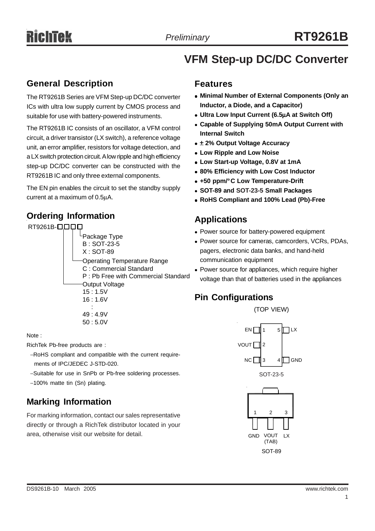# **VFM Step-up DC/DC Converter**

#### **General Description**

The RT9261B Series are VFM Step-up DC/DC converter ICs with ultra low supply current by CMOS process and suitable for use with battery-powered instruments.

The RT9261B IC consists of an oscillator, a VFM control circuit, a driver transistor (LX switch), a reference voltage unit, an error amplifier, resistors for voltage detection, and a LX switch protection circuit. A low ripple and high efficiency step-up DC/DC converter can be constructed with the RT9261B IC and only three external components.

The EN pin enables the circuit to set the standby supply current at a maximum of 0.5μA.

### **Ordering Information**



Note :

RichTek Pb-free products are :

- −RoHS compliant and compatible with the current require ments of IPC/JEDEC J-STD-020.
- −Suitable for use in SnPb or Pb-free soldering processes.
- −100% matte tin (Sn) plating.

### **Marking Information**

For marking information, contact our sales representative directly or through a RichTek distributor located in your area, otherwise visit our website for detail.

#### **Features**

- **Minimal Number of External Components (Only an Inductor, a Diode, and a Capacitor)**
- <sup>z</sup> **Ultra Low Input Current (6.5**μ**A at Switch Off)**
- **Capable of Supplying 50mA Output Current with Internal Switch**
- $\bullet$  **± 2% Output Voltage Accuracy**
- **Low Ripple and Low Noise**
- <sup>z</sup> **Low Start-up Voltage, 0.8V at 1mA**
- $\bullet$  **80% Efficiency with Low Cost Inductor**
- <sup>z</sup> **+50 ppm/°C Low Temperature-Drift**
- <sup>z</sup> **SOT-89 and SOT-23-5 Small Packages**
- <sup>z</sup> **RoHS Compliant and 100% Lead (Pb)-Free**

#### **Applications**

- Power source for battery-powered equipment
- Power source for cameras, camcorders, VCRs, PDAs, pagers, electronic data banks, and hand-held communication equipment
- Power source for appliances, which require higher voltage than that of batteries used in the appliances

### **Pin Configurations**

(TOP VIEW)



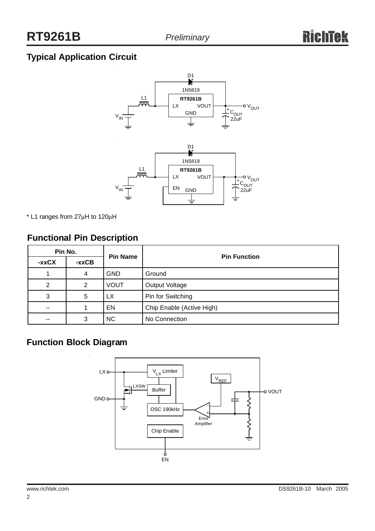## **Typical Application Circuit**



\* L1 ranges from 27μH to 120μH

#### **Functional Pin Description**

| Pin No.       |         | <b>Pin Name</b> | <b>Pin Function</b>       |  |
|---------------|---------|-----------------|---------------------------|--|
| -xxCX         | $-xxCB$ |                 |                           |  |
|               | 4       | <b>GND</b>      | Ground                    |  |
| 2             | 2       | <b>VOUT</b>     | Output Voltage            |  |
| 3             | 5       | LX.             | Pin for Switching         |  |
| $\sim$ $\sim$ |         | EN              | Chip Enable (Active High) |  |
| --            | 3       | <b>NC</b>       | No Connection             |  |

#### **Function Block Diagram**

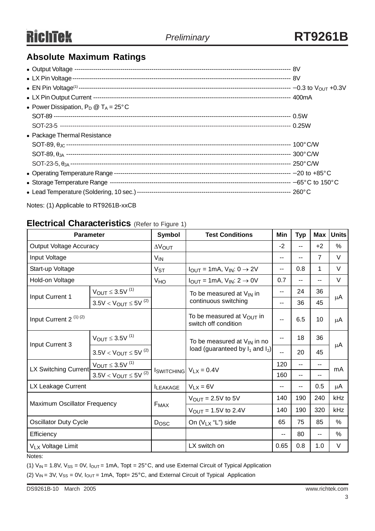### **Absolute Maximum Ratings**

| • Power Dissipation, $P_D @ T_A = 25^{\circ}C$ |  |
|------------------------------------------------|--|
|                                                |  |
|                                                |  |
| • Package Thermal Resistance                   |  |
|                                                |  |
|                                                |  |
|                                                |  |
|                                                |  |
|                                                |  |
|                                                |  |
|                                                |  |

Notes: (1) Applicable to RT9261B-xxCB

#### **Electrical Characteristics** (Refer to Figure 1)

| <b>Parameter</b>                  |                                | Symbol                           | <b>Test Conditions</b>                                 | Min  | <b>Typ</b> | Max            | <b>Units</b>  |
|-----------------------------------|--------------------------------|----------------------------------|--------------------------------------------------------|------|------------|----------------|---------------|
| <b>Output Voltage Accuracy</b>    |                                | $\Delta V_{\text{OUT}}$          |                                                        | $-2$ | --         | $+2$           | %             |
| Input Voltage                     |                                | V <sub>IN</sub>                  |                                                        | --   | --         | $\overline{7}$ | $\vee$        |
| Start-up Voltage                  |                                | V <sub>ST</sub>                  | $I_{OUT} = 1mA$ , $V_{IN}: 0 \rightarrow 2V$           | $-$  | 0.8        | 1              | $\vee$        |
| Hold-on Voltage                   |                                | VHO                              | $I_{OUT} = 1mA$ , $V_{IN}: 2 \rightarrow 0V$           | 0.7  | $- -$      | $-$            | V             |
|                                   | $V_{OUT}$ $\leq$ 3.5V $^{(1)}$ |                                  | To be measured at $V_{\text{IN}}$ in                   | --   | 24         | 36             | μA            |
| Input Current 1                   | $3.5V < V_{OUT} \leq 5V^{(2)}$ |                                  | continuous switching                                   | --   | 36         | 45             |               |
| Input Current 2 <sup>(1)(2)</sup> |                                |                                  | To be measured at $V_{OUT}$ in<br>switch off condition | --   | 6.5        | 10             | μA            |
|                                   | $V_{OUT}$ $\leq$ 3.5V $^{(1)}$ | To be measured at $V_{IN}$ in no |                                                        | --   | 18         | 36             |               |
| Input Current 3                   | $3.5V < V_{OUT} \leq 5V^{(2)}$ |                                  | load (guaranteed by $I_1$ and $I_2$ )                  | $-$  | 20         | 45             | μA            |
|                                   | $V_{OUT}$ $\leq$ 3.5V $^{(1)}$ |                                  | $V_{LX} = 0.4V$                                        | 120  | $-$        | $\overline{a}$ | mA            |
| LX Switching Current              | $3.5V < V_{OUT} \leq 5V^{(2)}$ | <b>ISWITCHING</b>                |                                                        | 160  | --         |                |               |
| LX Leakage Current                |                                | <b>ILEAKAGE</b>                  | $V_{LX} = 6V$                                          | --   | --         | 0.5            | μA            |
| Maximum Oscillator Frequency      |                                | F <sub>MAX</sub>                 | $V_{\text{OUT}} = 2.5V$ to 5V                          | 140  | 190        | 240            | kHz           |
|                                   |                                |                                  | $V_{\text{OUT}} = 1.5V$ to 2.4V                        | 140  | 190        | 320            | kHz           |
| <b>Oscillator Duty Cycle</b>      |                                | <b>Dosc</b>                      | On (VLx "L") side                                      | 65   | 75         | 85             | $\frac{0}{0}$ |
| Efficiency                        |                                |                                  |                                                        | --   | 80         | $\overline{a}$ | $\frac{0}{0}$ |
| V <sub>LX</sub> Voltage Limit     |                                |                                  | LX switch on                                           | 0.65 | 0.8        | 1.0            | V             |

Notes:

(1)  $V_{IN}$  = 1.8V,  $V_{SS}$  = 0V,  $I_{OUT}$  = 1mA, Topt = 25°C, and use External Circuit of Typical Application

(2)  $V_{IN}$  = 3V,  $V_{SS}$  = 0V,  $I_{OUT}$  = 1mA, Topt= 25°C, and External Circuit of Typical Application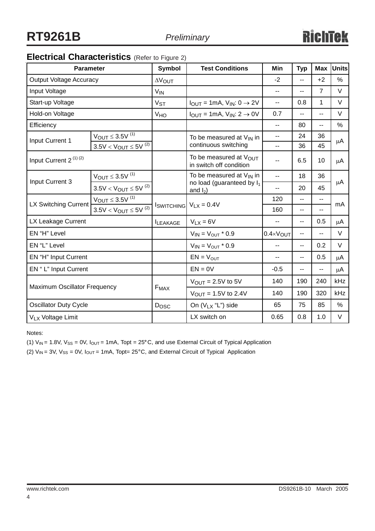## **Electrical Characteristics** (Refer to Figure 2)

| <b>Parameter</b>                  |                                | <b>Symbol</b>         | <b>Test Conditions</b>                                                                | Min                         | <b>Typ</b>     | <b>Max</b>     | <b>Units</b> |
|-----------------------------------|--------------------------------|-----------------------|---------------------------------------------------------------------------------------|-----------------------------|----------------|----------------|--------------|
| <b>Output Voltage Accuracy</b>    |                                | <b>AVOUT</b>          |                                                                                       | $-2$                        | $\overline{a}$ | $+2$           | %            |
| Input Voltage                     |                                | <b>V<sub>IN</sub></b> |                                                                                       | $- -$                       | $-$            | $\overline{7}$ | $\vee$       |
| Start-up Voltage                  |                                | V <sub>ST</sub>       | $I_{OUT} = 1mA$ , $V_{IN}: 0 \rightarrow 2V$                                          | н.                          | 0.8            | $\mathbf{1}$   | $\vee$       |
| Hold-on Voltage                   |                                | VHO                   | $I_{OUT} = 1mA$ , $V_{IN}: 2 \rightarrow 0V$                                          | 0.7                         | --             | $-$            | $\vee$       |
| Efficiency                        |                                |                       |                                                                                       | --                          | 80             | --             | $\%$         |
| Input Current 1                   | $V_{OUT}$ $\leq$ 3.5V $^{(1)}$ |                       | To be measured at $V_{IN}$ in                                                         | ۰.                          | 24             | 36             | μA           |
|                                   | $3.5V < V_{OUT} \le 5V^{(2)}$  |                       | continuous switching                                                                  | $\overline{a}$              | 36             | 45             |              |
| Input Current 2 <sup>(1)(2)</sup> |                                |                       | To be measured at $V_{\text{OUT}}$<br>in switch off condition                         | --                          | 6.5            | 10             | μA           |
|                                   | $V_{OUT}$ $\leq$ 3.5V $^{(1)}$ |                       | To be measured at $V_{IN}$ in<br>no load (guaranteed by l <sub>1</sub><br>and $I_2$ ) | $\overline{a}$              | 18             | 36             |              |
| Input Current 3                   | $3.5V < V_{OUT} \leq 5V^{(2)}$ |                       |                                                                                       | $-$                         | 20             | 45             | μA           |
|                                   | $V_{OUT}$ $\leq$ 3.5V $^{(1)}$ |                       | $V_{\text{LX}} = 0.4V$                                                                | 120                         | $\overline{a}$ | н.             | mA           |
| LX Switching Current              | $3.5V < V_{OUT} \leq 5V^{(2)}$ | <b>I</b> switching    |                                                                                       | 160                         | $\mathbf{u}$   | $-$            |              |
| LX Leakage Current                |                                | <b>ILEAKAGE</b>       | $V_{LX} = 6V$                                                                         |                             | $-$            | 0.5            | μA           |
| EN "H" Level                      |                                |                       | $V_{IN} = V_{OUT} * 0.9$                                                              | $0.4 \times V_{\text{OUT}}$ | $-$            | --             | $\vee$       |
| EN "L" Level                      |                                |                       | $V_{IN} = V_{OUT} * 0.9$                                                              | --                          | $\overline{a}$ | 0.2            | $\vee$       |
| EN "H" Input Current              |                                |                       | $EN = V_{OUT}$                                                                        | $-1$                        | $\overline{a}$ | 0.5            | $\mu$ A      |
| EN "L" Input Current              |                                |                       | $EN = 0V$                                                                             | $-0.5$                      | --             | --             | μA           |
| Maximum Oscillator Frequency      |                                | F <sub>MAX</sub>      | $V_{OUT} = 2.5V$ to 5V                                                                | 140                         | 190            | 240            | kHz          |
|                                   |                                |                       | $V_{OUT} = 1.5V$ to 2.4V                                                              | 140                         | 190            | 320            | kHz          |
| Oscillator Duty Cycle             |                                | Dosc                  | On (VL <sub>X</sub> "L") side                                                         | 65                          | 75             | 85             | $\%$         |
| VL <sub>X</sub> Voltage Limit     |                                |                       | LX switch on                                                                          | 0.65                        | 0.8            | 1.0            | $\vee$       |

Notes:

(1)  $V_{IN}$  = 1.8V,  $V_{SS}$  = 0V,  $I_{OUT}$  = 1mA, Topt = 25° C, and use External Circuit of Typical Application

(2)  $V_{IN}$  = 3V,  $V_{SS}$  = 0V,  $I_{OUT}$  = 1mA, Topt= 25°C, and External Circuit of Typical Application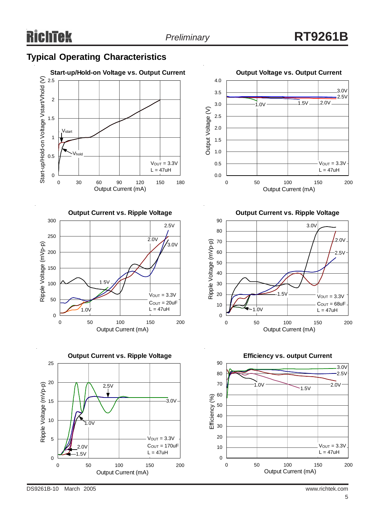### **Typical Operating Characteristics**









**Output Current vs. Ripple Voltage**



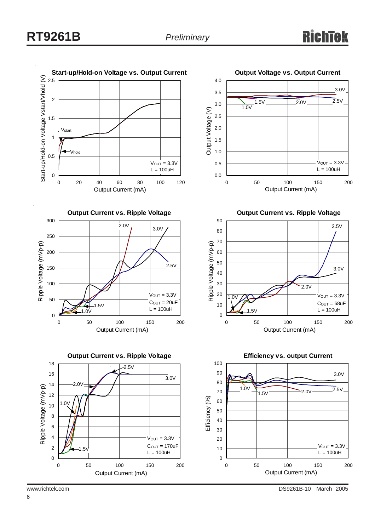

www.richtek.com DS9261B-10 March 2005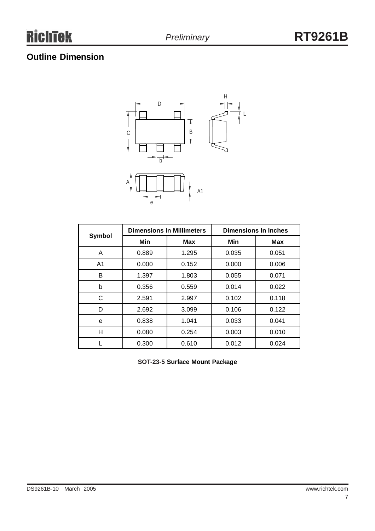### **Outline Dimension**



|                |       | <b>Dimensions In Millimeters</b> | <b>Dimensions In Inches</b> |            |  |
|----------------|-------|----------------------------------|-----------------------------|------------|--|
| Symbol         | Min   | <b>Max</b>                       | Min                         | <b>Max</b> |  |
| A              | 0.889 | 1.295                            | 0.035                       | 0.051      |  |
| A <sub>1</sub> | 0.000 | 0.152                            | 0.000                       | 0.006      |  |
| В              | 1.397 | 1.803                            | 0.055                       | 0.071      |  |
| b              | 0.356 | 0.559                            | 0.014                       | 0.022      |  |
| С              | 2.591 | 2.997                            | 0.102                       | 0.118      |  |
| D              | 2.692 | 3.099                            | 0.106                       | 0.122      |  |
| e              | 0.838 | 1.041                            | 0.033                       | 0.041      |  |
| Н              | 0.080 | 0.254                            | 0.003                       | 0.010      |  |
|                | 0.300 | 0.610                            | 0.012                       | 0.024      |  |

**SOT-23-5 Surface Mount Package**